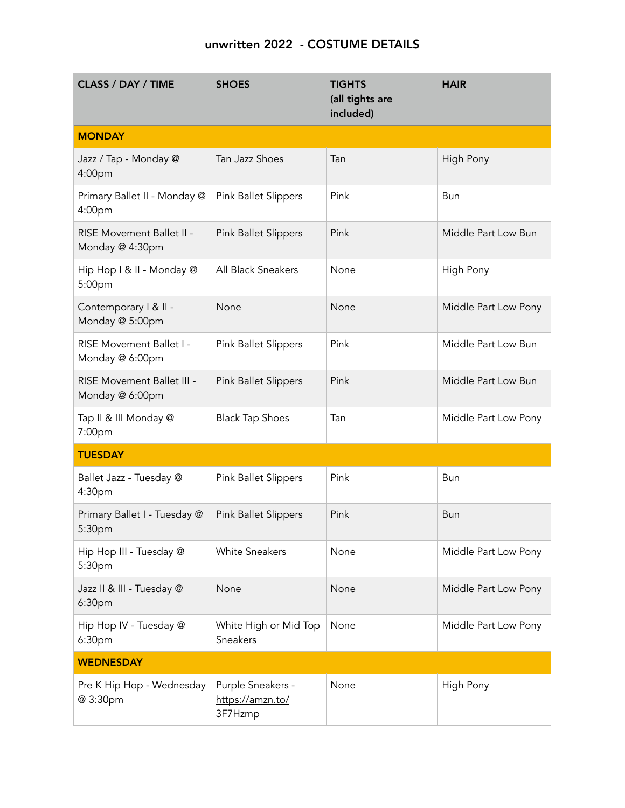## unwritten 2022 - COSTUME DETAILS

| <b>CLASS / DAY / TIME</b>                     | <b>SHOES</b>                                     | <b>TIGHTS</b><br>(all tights are<br>included) | <b>HAIR</b>          |
|-----------------------------------------------|--------------------------------------------------|-----------------------------------------------|----------------------|
| <b>MONDAY</b>                                 |                                                  |                                               |                      |
| Jazz / Tap - Monday @<br>4:00pm               | Tan Jazz Shoes                                   | Tan                                           | High Pony            |
| Primary Ballet II - Monday @<br>4:00pm        | Pink Ballet Slippers                             | Pink                                          | Bun                  |
| RISE Movement Ballet II -<br>Monday @ 4:30pm  | <b>Pink Ballet Slippers</b>                      | Pink                                          | Middle Part Low Bun  |
| Hip Hop I & II - Monday @<br>5:00pm           | All Black Sneakers                               | None                                          | High Pony            |
| Contemporary   &    -<br>Monday @ 5:00pm      | None                                             | None                                          | Middle Part Low Pony |
| RISE Movement Ballet I -<br>Monday @ 6:00pm   | <b>Pink Ballet Slippers</b>                      | Pink                                          | Middle Part Low Bun  |
| RISE Movement Ballet III -<br>Monday @ 6:00pm | <b>Pink Ballet Slippers</b>                      | Pink                                          | Middle Part Low Bun  |
| Tap II & III Monday @<br>7:00pm               | <b>Black Tap Shoes</b>                           | Tan                                           | Middle Part Low Pony |
| <b>TUESDAY</b>                                |                                                  |                                               |                      |
| Ballet Jazz - Tuesday @<br>4:30pm             | <b>Pink Ballet Slippers</b>                      | Pink                                          | Bun                  |
| Primary Ballet I - Tuesday @<br>5:30pm        | Pink Ballet Slippers                             | Pink                                          | <b>Bun</b>           |
| Hip Hop III - Tuesday @<br>5:30pm             | <b>White Sneakers</b>                            | None                                          | Middle Part Low Pony |
| Jazz II & III - Tuesday @<br>6:30pm           | None                                             | None                                          | Middle Part Low Pony |
| Hip Hop IV - Tuesday @<br>6:30pm              | White High or Mid Top<br>Sneakers                | None                                          | Middle Part Low Pony |
| <b>WEDNESDAY</b>                              |                                                  |                                               |                      |
| Pre K Hip Hop - Wednesday<br>@ 3:30pm         | Purple Sneakers -<br>https://amzn.to/<br>3F7Hzmp | None                                          | High Pony            |